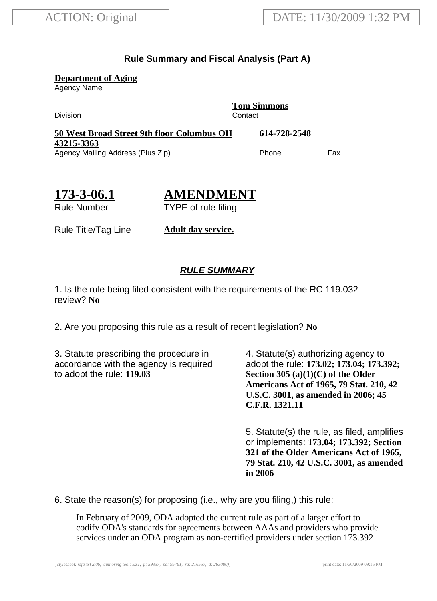## **Rule Summary and Fiscal Analysis (Part A)**

**Department of Aging**

Agency Name

Division **Contact** 

**Tom Simmons**

**50 West Broad Street 9th floor Columbus OH 43215-3363 614-728-2548** Agency Mailing Address (Plus Zip) entitled the Choice of Phone Fax

**173-3-06.1**

**AMENDMENT** TYPE of rule filing

Rule Number

Rule Title/Tag Line **Adult day service.**

## **RULE SUMMARY**

1. Is the rule being filed consistent with the requirements of the RC 119.032 review? **No**

2. Are you proposing this rule as a result of recent legislation? **No**

3. Statute prescribing the procedure in accordance with the agency is required to adopt the rule: **119.03**

4. Statute(s) authorizing agency to adopt the rule: **173.02; 173.04; 173.392; Section 305 (a)(1)(C) of the Older Americans Act of 1965, 79 Stat. 210, 42 U.S.C. 3001, as amended in 2006; 45 C.F.R. 1321.11**

5. Statute(s) the rule, as filed, amplifies or implements: **173.04; 173.392; Section 321 of the Older Americans Act of 1965, 79 Stat. 210, 42 U.S.C. 3001, as amended in 2006**

6. State the reason(s) for proposing (i.e., why are you filing,) this rule:

In February of 2009, ODA adopted the current rule as part of a larger effort to codify ODA's standards for agreements between AAAs and providers who provide services under an ODA program as non-certified providers under section 173.392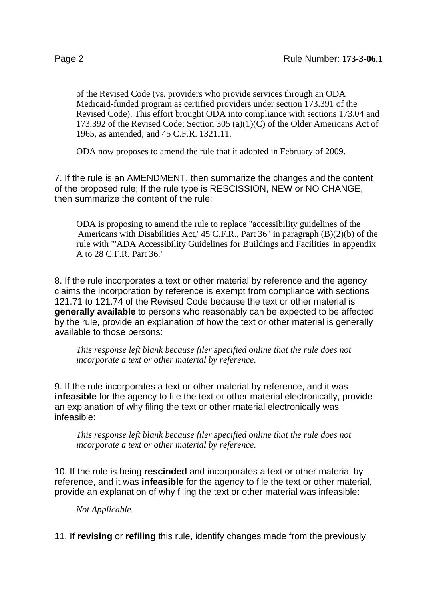of the Revised Code (vs. providers who provide services through an ODA Medicaid-funded program as certified providers under section 173.391 of the Revised Code). This effort brought ODA into compliance with sections 173.04 and 173.392 of the Revised Code; Section 305 (a)(1)(C) of the Older Americans Act of 1965, as amended; and 45 C.F.R. 1321.11.

ODA now proposes to amend the rule that it adopted in February of 2009.

7. If the rule is an AMENDMENT, then summarize the changes and the content of the proposed rule; If the rule type is RESCISSION, NEW or NO CHANGE, then summarize the content of the rule:

ODA is proposing to amend the rule to replace "accessibility guidelines of the 'Americans with Disabilities Act,' 45 C.F.R., Part 36" in paragraph (B)(2)(b) of the rule with "'ADA Accessibility Guidelines for Buildings and Facilities' in appendix A to 28 C.F.R. Part 36."

8. If the rule incorporates a text or other material by reference and the agency claims the incorporation by reference is exempt from compliance with sections 121.71 to 121.74 of the Revised Code because the text or other material is **generally available** to persons who reasonably can be expected to be affected by the rule, provide an explanation of how the text or other material is generally available to those persons:

*This response left blank because filer specified online that the rule does not incorporate a text or other material by reference.*

9. If the rule incorporates a text or other material by reference, and it was **infeasible** for the agency to file the text or other material electronically, provide an explanation of why filing the text or other material electronically was infeasible:

*This response left blank because filer specified online that the rule does not incorporate a text or other material by reference.*

10. If the rule is being **rescinded** and incorporates a text or other material by reference, and it was **infeasible** for the agency to file the text or other material, provide an explanation of why filing the text or other material was infeasible:

*Not Applicable.*

11. If **revising** or **refiling** this rule, identify changes made from the previously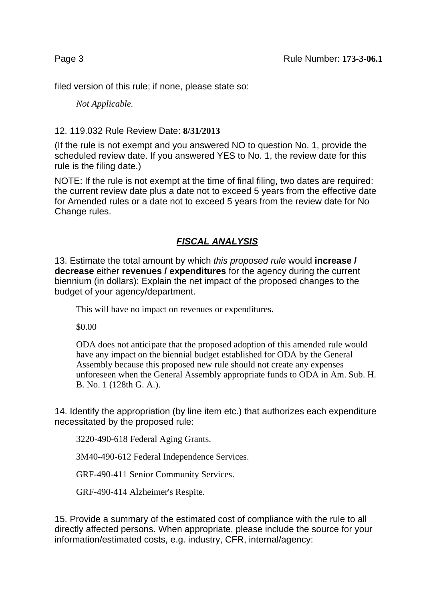filed version of this rule; if none, please state so:

*Not Applicable.*

## 12. 119.032 Rule Review Date: **8/31/2013**

(If the rule is not exempt and you answered NO to question No. 1, provide the scheduled review date. If you answered YES to No. 1, the review date for this rule is the filing date.)

NOTE: If the rule is not exempt at the time of final filing, two dates are required: the current review date plus a date not to exceed 5 years from the effective date for Amended rules or a date not to exceed 5 years from the review date for No Change rules.

## **FISCAL ANALYSIS**

13. Estimate the total amount by which this proposed rule would **increase / decrease** either **revenues / expenditures** for the agency during the current biennium (in dollars): Explain the net impact of the proposed changes to the budget of your agency/department.

This will have no impact on revenues or expenditures.

\$0.00

ODA does not anticipate that the proposed adoption of this amended rule would have any impact on the biennial budget established for ODA by the General Assembly because this proposed new rule should not create any expenses unforeseen when the General Assembly appropriate funds to ODA in Am. Sub. H. B. No. 1 (128th G. A.).

14. Identify the appropriation (by line item etc.) that authorizes each expenditure necessitated by the proposed rule:

3220-490-618 Federal Aging Grants.

3M40-490-612 Federal Independence Services.

GRF-490-411 Senior Community Services.

GRF-490-414 Alzheimer's Respite.

15. Provide a summary of the estimated cost of compliance with the rule to all directly affected persons. When appropriate, please include the source for your information/estimated costs, e.g. industry, CFR, internal/agency: